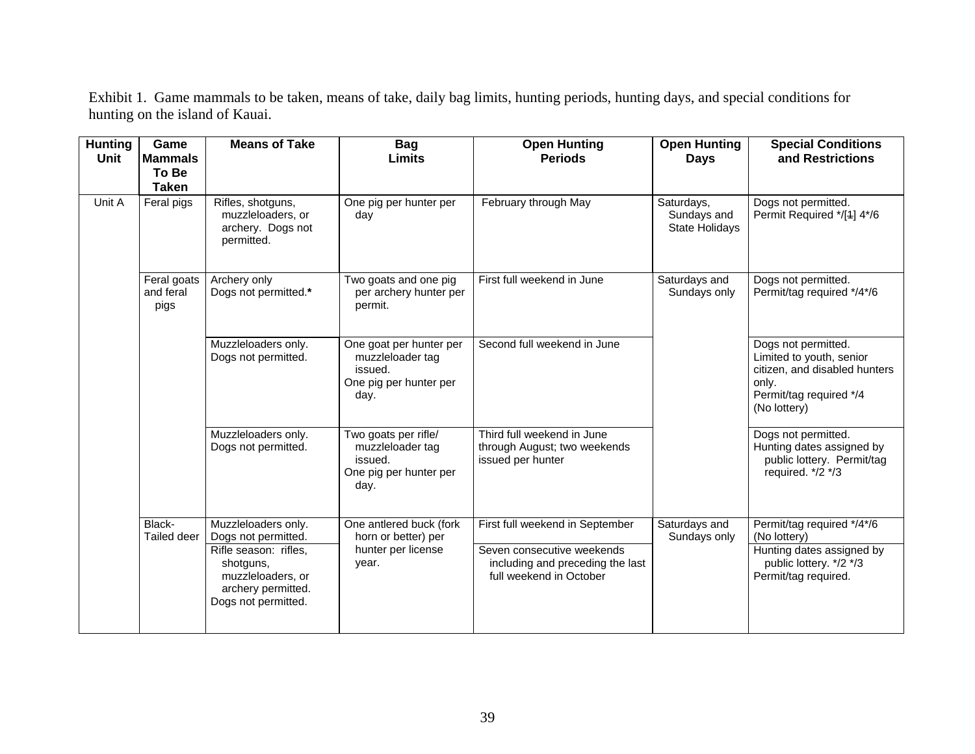| <b>Hunting</b><br><b>Unit</b> | Game<br><b>Mammals</b><br>To Be<br><b>Taken</b> | <b>Means of Take</b>                                                                                 | <b>Bag</b><br><b>Limits</b>                                                              | <b>Open Hunting</b><br><b>Periods</b>                                                     | <b>Open Hunting</b><br><b>Days</b>                 | <b>Special Conditions</b><br>and Restrictions                                                                                        |
|-------------------------------|-------------------------------------------------|------------------------------------------------------------------------------------------------------|------------------------------------------------------------------------------------------|-------------------------------------------------------------------------------------------|----------------------------------------------------|--------------------------------------------------------------------------------------------------------------------------------------|
| Unit A                        | Feral pigs                                      | Rifles, shotguns,<br>muzzleloaders, or<br>archery. Dogs not<br>permitted.                            | One pig per hunter per<br>day                                                            | February through May                                                                      | Saturdays,<br>Sundays and<br><b>State Holidays</b> | Dogs not permitted.<br>Permit Required */[4] 4*/6                                                                                    |
|                               | Feral goats<br>and feral<br>pigs                | Archery only<br>Dogs not permitted.*                                                                 | Two goats and one pig<br>per archery hunter per<br>permit.                               | First full weekend in June                                                                | Saturdays and<br>Sundays only                      | Dogs not permitted.<br>Permit/tag required */4*/6                                                                                    |
|                               |                                                 | Muzzleloaders only.<br>Dogs not permitted.                                                           | One goat per hunter per<br>muzzleloader tag<br>issued.<br>One pig per hunter per<br>day. | Second full weekend in June                                                               |                                                    | Dogs not permitted.<br>Limited to youth, senior<br>citizen, and disabled hunters<br>only.<br>Permit/tag required */4<br>(No lottery) |
|                               |                                                 | Muzzleloaders only.<br>Dogs not permitted.                                                           | Two goats per rifle/<br>muzzleloader tag<br>issued.<br>One pig per hunter per<br>day.    | Third full weekend in June<br>through August; two weekends<br>issued per hunter           |                                                    | Dogs not permitted.<br>Hunting dates assigned by<br>public lottery. Permit/tag<br>required. */2 */3                                  |
|                               | Black-<br>Tailed deer                           | Muzzleloaders only.<br>Dogs not permitted.                                                           | One antlered buck (fork<br>horn or better) per                                           | First full weekend in September                                                           | Saturdays and<br>Sundays only                      | Permit/tag required */4*/6<br>(No lottery)                                                                                           |
|                               |                                                 | Rifle season: rifles,<br>shotguns,<br>muzzleloaders, or<br>archery permitted.<br>Dogs not permitted. | hunter per license<br>year.                                                              | Seven consecutive weekends<br>including and preceding the last<br>full weekend in October |                                                    | Hunting dates assigned by<br>public lottery. */2 */3<br>Permit/tag required.                                                         |

Exhibit 1. Game mammals to be taken, means of take, daily bag limits, hunting periods, hunting days, and special conditions for hunting on the island of Kauai.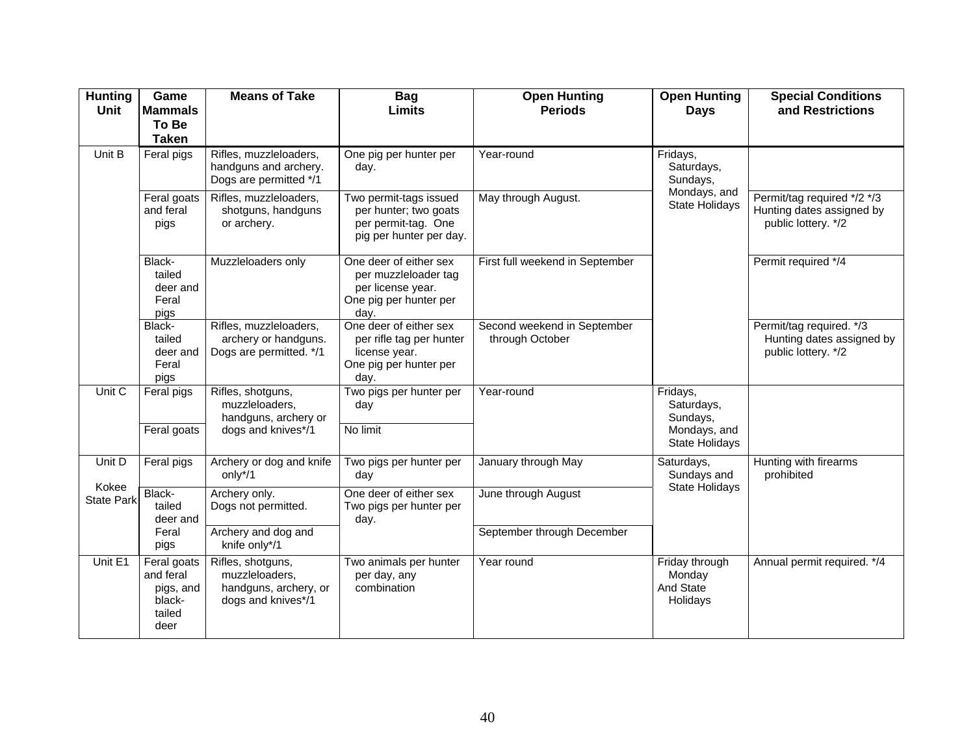| <b>Hunting</b><br>Unit     | Game<br><b>Mammals</b><br>To Be<br><b>Taken</b>                   | <b>Means of Take</b>                                                               | <b>Bag</b><br><b>Limits</b>                                                                           | <b>Open Hunting</b><br><b>Periods</b>          | <b>Open Hunting</b><br><b>Days</b>                                          | <b>Special Conditions</b><br>and Restrictions                                   |
|----------------------------|-------------------------------------------------------------------|------------------------------------------------------------------------------------|-------------------------------------------------------------------------------------------------------|------------------------------------------------|-----------------------------------------------------------------------------|---------------------------------------------------------------------------------|
| Unit B                     | Feral pigs                                                        | Rifles, muzzleloaders,<br>handguns and archery.<br>Dogs are permitted */1          | One pig per hunter per<br>day.                                                                        | Year-round                                     | Fridays,<br>Saturdays,<br>Sundays,<br>Mondays, and<br><b>State Holidays</b> |                                                                                 |
|                            | Feral goats<br>and feral<br>pigs                                  | Rifles, muzzleloaders,<br>shotguns, handguns<br>or archery.                        | Two permit-tags issued<br>per hunter; two goats<br>per permit-tag. One<br>pig per hunter per day.     | May through August.                            |                                                                             | Permit/tag required */2 */3<br>Hunting dates assigned by<br>public lottery. */2 |
|                            | Black-<br>tailed<br>deer and<br>Feral<br>pigs                     | Muzzleloaders only                                                                 | One deer of either sex<br>per muzzleloader tag<br>per license year.<br>One pig per hunter per<br>day. | First full weekend in September                |                                                                             | Permit required */4                                                             |
|                            | Black-<br>tailed<br>deer and<br>Feral<br>pigs                     | Rifles, muzzleloaders,<br>archery or handguns.<br>Dogs are permitted. */1          | One deer of either sex<br>per rifle tag per hunter<br>license year.<br>One pig per hunter per<br>dav. | Second weekend in September<br>through October |                                                                             | Permit/tag required. */3<br>Hunting dates assigned by<br>public lottery. */2    |
| Unit C                     | Feral pigs<br>Feral goats                                         | Rifles, shotguns,<br>muzzleloaders,<br>handguns, archery or<br>dogs and knives*/1  | Two pigs per hunter per<br>day<br>No limit                                                            | Year-round                                     | Fridays,<br>Saturdays,<br>Sundays,<br>Mondays, and<br><b>State Holidays</b> |                                                                                 |
| Unit D                     | Feral pigs                                                        | Archery or dog and knife<br>only*/1                                                | Two pigs per hunter per<br>day                                                                        | January through May                            | Saturdays,<br>Sundays and<br><b>State Holidays</b>                          | Hunting with firearms<br>prohibited                                             |
| Kokee<br><b>State Park</b> | Black-<br>tailed<br>deer and                                      | Archery only.<br>Dogs not permitted.                                               | One deer of either sex<br>Two pigs per hunter per<br>day.                                             | June through August                            |                                                                             |                                                                                 |
|                            | Feral<br>pigs                                                     | Archery and dog and<br>knife only*/1                                               |                                                                                                       | September through December                     |                                                                             |                                                                                 |
| Unit E1                    | Feral goats<br>and feral<br>pigs, and<br>black-<br>tailed<br>deer | Rifles, shotguns,<br>muzzleloaders,<br>handguns, archery, or<br>dogs and knives*/1 | Two animals per hunter<br>per day, any<br>combination                                                 | Year round                                     | Friday through<br>Monday<br>And State<br>Holidays                           | Annual permit required. */4                                                     |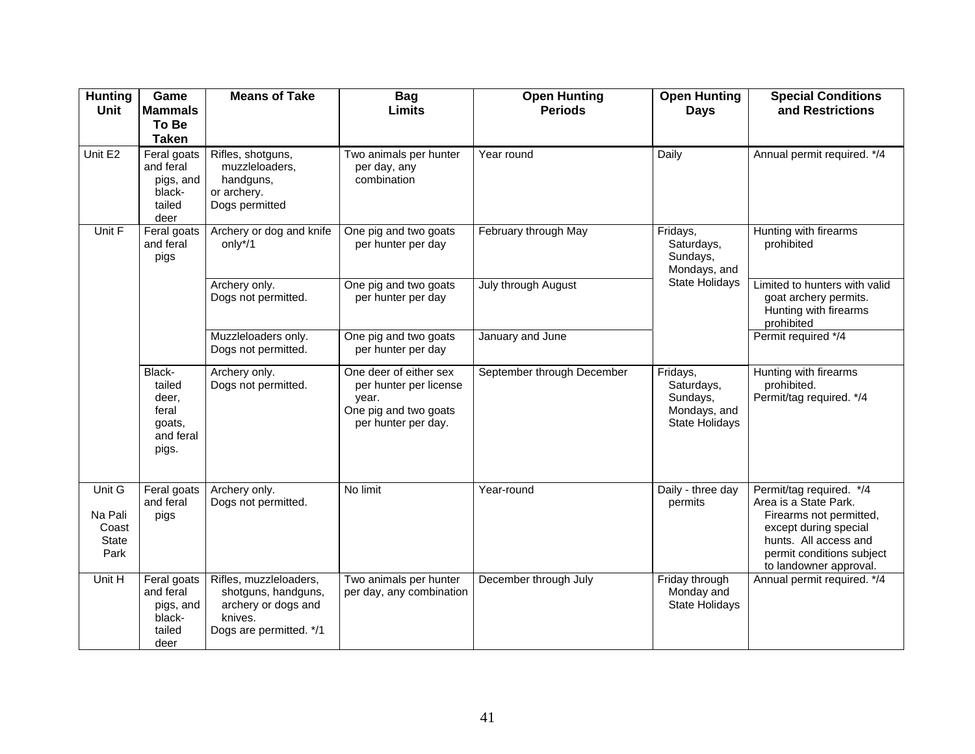| <b>Hunting</b><br>Unit                      | Game<br><b>Mammals</b><br>To Be<br><b>Taken</b>                    | <b>Means of Take</b>                                                                                       | <b>Bag</b><br><b>Limits</b>                                                                               | <b>Open Hunting</b><br><b>Periods</b> | <b>Open Hunting</b><br><b>Days</b>                                          | <b>Special Conditions</b><br>and Restrictions                                                                                                                                         |
|---------------------------------------------|--------------------------------------------------------------------|------------------------------------------------------------------------------------------------------------|-----------------------------------------------------------------------------------------------------------|---------------------------------------|-----------------------------------------------------------------------------|---------------------------------------------------------------------------------------------------------------------------------------------------------------------------------------|
| Unit E2                                     | Feral goats<br>and feral<br>pigs, and<br>black-<br>tailed<br>deer  | Rifles, shotguns,<br>muzzleloaders,<br>handguns,<br>or archery.<br>Dogs permitted                          | Two animals per hunter<br>per day, any<br>combination                                                     | Year round                            | Daily                                                                       | Annual permit required. */4                                                                                                                                                           |
| Unit F                                      | Feral goats<br>and feral<br>pigs                                   | Archery or dog and knife<br>only*/1                                                                        | One pig and two goats<br>per hunter per day                                                               | February through May                  | Fridays,<br>Saturdays,<br>Sundays,<br>Mondays, and<br><b>State Holidays</b> | Hunting with firearms<br>prohibited                                                                                                                                                   |
|                                             |                                                                    | Archery only.<br>Dogs not permitted.                                                                       | One pig and two goats<br>per hunter per day                                                               | July through August                   |                                                                             | Limited to hunters with valid<br>goat archery permits.<br>Hunting with firearms<br>prohibited                                                                                         |
|                                             |                                                                    | Muzzleloaders only.<br>Dogs not permitted.                                                                 | One pig and two goats<br>per hunter per day                                                               | January and June                      |                                                                             | Permit required */4                                                                                                                                                                   |
|                                             | Black-<br>tailed<br>deer,<br>feral<br>goats,<br>and feral<br>pigs. | Archery only.<br>Dogs not permitted.                                                                       | One deer of either sex<br>per hunter per license<br>year.<br>One pig and two goats<br>per hunter per day. | September through December            | Fridays,<br>Saturdays,<br>Sundays,<br>Mondays, and<br>State Holidays        | Hunting with firearms<br>prohibited.<br>Permit/tag required. */4                                                                                                                      |
| Unit G<br>Na Pali<br>Coast<br>State<br>Park | Feral goats<br>and feral<br>pigs                                   | Archery only.<br>Dogs not permitted.                                                                       | No limit                                                                                                  | Year-round                            | Daily - three day<br>permits                                                | Permit/tag required. */4<br>Area is a State Park.<br>Firearms not permitted,<br>except during special<br>hunts. All access and<br>permit conditions subject<br>to landowner approval. |
| Unit H                                      | Feral goats<br>and feral<br>pigs, and<br>black-<br>tailed<br>deer  | Rifles, muzzleloaders,<br>shotguns, handguns,<br>archery or dogs and<br>knives.<br>Dogs are permitted. */1 | Two animals per hunter<br>per day, any combination                                                        | December through July                 | Friday through<br>Monday and<br><b>State Holidays</b>                       | Annual permit required. */4                                                                                                                                                           |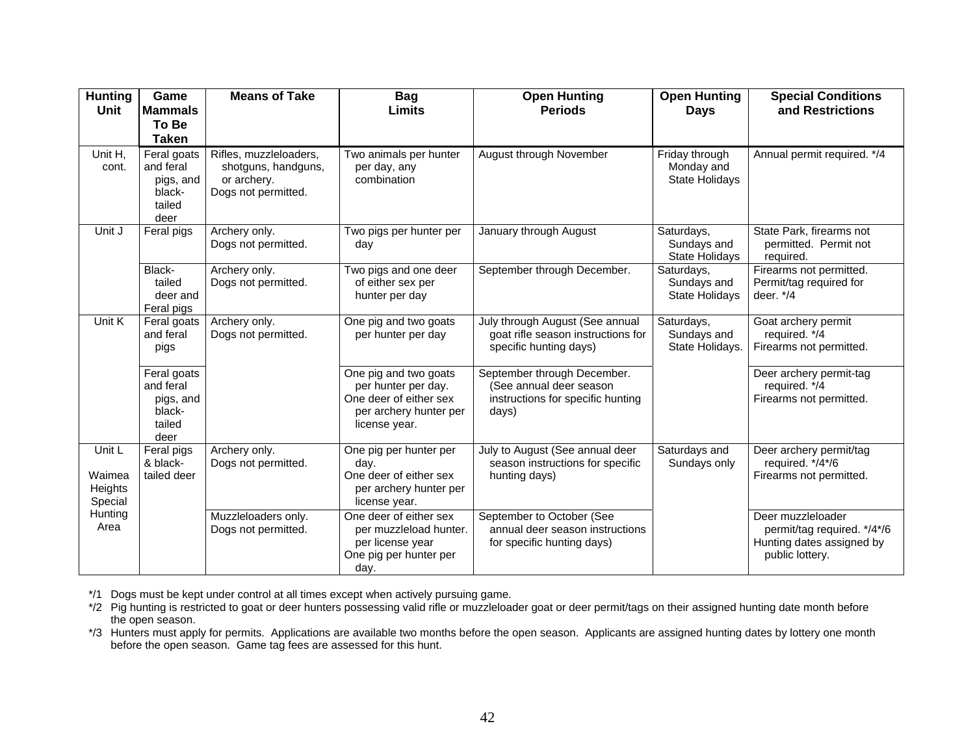| <b>Hunting</b><br><b>Unit</b>          | Game<br><b>Mammals</b><br>To Be<br><b>Taken</b>                   | <b>Means of Take</b>                                                                | <b>Bag</b><br><b>Limits</b>                                                                                       | <b>Open Hunting</b><br><b>Periods</b>                                                                | <b>Open Hunting</b><br><b>Days</b>                    | <b>Special Conditions</b><br>and Restrictions                                                    |
|----------------------------------------|-------------------------------------------------------------------|-------------------------------------------------------------------------------------|-------------------------------------------------------------------------------------------------------------------|------------------------------------------------------------------------------------------------------|-------------------------------------------------------|--------------------------------------------------------------------------------------------------|
| Unit H,<br>cont.                       | Feral goats<br>and feral<br>pigs, and<br>black-<br>tailed<br>deer | Rifles, muzzleloaders,<br>shotguns, handguns,<br>or archery.<br>Dogs not permitted. | Two animals per hunter<br>per day, any<br>combination                                                             | August through November                                                                              | Friday through<br>Monday and<br><b>State Holidays</b> | Annual permit required. */4                                                                      |
| Unit J                                 | Feral pigs                                                        | Archery only.<br>Dogs not permitted.                                                | Two pigs per hunter per<br>day                                                                                    | January through August                                                                               | Saturdays,<br>Sundays and<br><b>State Holidays</b>    | State Park, firearms not<br>permitted. Permit not<br>required.                                   |
|                                        | Black-<br>tailed<br>deer and<br>Feral pigs                        | Archery only.<br>Dogs not permitted.                                                | Two pigs and one deer<br>of either sex per<br>hunter per day                                                      | September through December.                                                                          | Saturdays,<br>Sundays and<br><b>State Holidays</b>    | Firearms not permitted.<br>Permit/tag required for<br>deer. $*/4$                                |
| Unit K                                 | Feral goats<br>and feral<br>pigs                                  | Archery only.<br>Dogs not permitted.                                                | One pig and two goats<br>per hunter per day                                                                       | July through August (See annual<br>goat rifle season instructions for<br>specific hunting days)      | Saturdays,<br>Sundays and<br>State Holidays.          | Goat archery permit<br>required. */4<br>Firearms not permitted.                                  |
|                                        | Feral goats<br>and feral<br>pigs, and<br>black-<br>tailed<br>deer |                                                                                     | One pig and two goats<br>per hunter per day.<br>One deer of either sex<br>per archery hunter per<br>license year. | September through December.<br>(See annual deer season<br>instructions for specific hunting<br>days) |                                                       | Deer archery permit-tag<br>required. */4<br>Firearms not permitted.                              |
| Unit L<br>Waimea<br>Heights<br>Special | Feral pigs<br>& black-<br>tailed deer                             | Archery only.<br>Dogs not permitted.                                                | One pig per hunter per<br>day.<br>One deer of either sex<br>per archery hunter per<br>license year.               | July to August (See annual deer<br>season instructions for specific<br>hunting days)                 | Saturdays and<br>Sundays only                         | Deer archery permit/tag<br>required. */4*/6<br>Firearms not permitted.                           |
| Hunting<br>Area                        |                                                                   | Muzzleloaders only.<br>Dogs not permitted.                                          | One deer of either sex<br>per muzzleload hunter.<br>per license year<br>One pig per hunter per<br>day.            | September to October (See<br>annual deer season instructions<br>for specific hunting days)           |                                                       | Deer muzzleloader<br>permit/tag required. */4*/6<br>Hunting dates assigned by<br>public lottery. |

\*/1 Dogs must be kept under control at all times except when actively pursuing game.

\*/2 Pig hunting is restricted to goat or deer hunters possessing valid rifle or muzzleloader goat or deer permit/tags on their assigned hunting date month before the open season.

\*/3 Hunters must apply for permits. Applications are available two months before the open season. Applicants are assigned hunting dates by lottery one month before the open season. Game tag fees are assessed for this hunt.